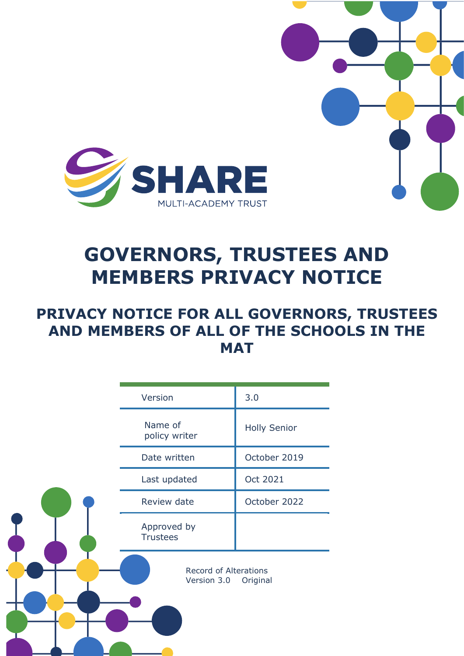

# **GOVERNORS, TRUSTEES AND MEMBERS PRIVACY NOTICE**

# **PRIVACY NOTICE FOR ALL GOVERNORS, TRUSTEES AND MEMBERS OF ALL OF THE SCHOOLS IN THE MAT**

|  | Version                                                 | 3.0                 |
|--|---------------------------------------------------------|---------------------|
|  | Name of<br>policy writer                                | <b>Holly Senior</b> |
|  | Date written                                            | October 2019        |
|  | Last updated                                            | Oct 2021            |
|  | Review date                                             | October 2022        |
|  | Approved by<br><b>Trustees</b>                          |                     |
|  | <b>Record of Alterations</b><br>Version 3.0<br>Original |                     |
|  |                                                         |                     |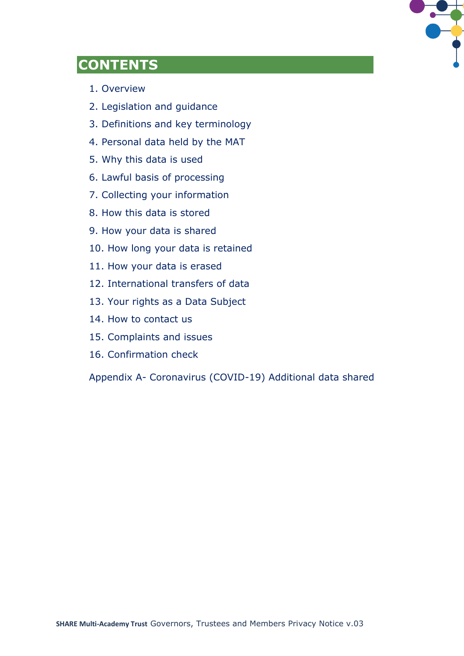

# **CONTENTS**

- 1. Overview
- 2. Legislation and guidance
- 3. Definitions and key terminology
- 4. Personal data held by the MAT
- 5. Why this data is used
- 6. Lawful basis of processing
- 7. Collecting your information
- 8. How this data is stored
- 9. How your data is shared
- 10. How long your data is retained
- 11. How your data is erased
- 12. International transfers of data
- 13. Your rights as a Data Subject
- 14. How to contact us
- 15. Complaints and issues
- 16. Confirmation check

Appendix A- Coronavirus (COVID-19) Additional data shared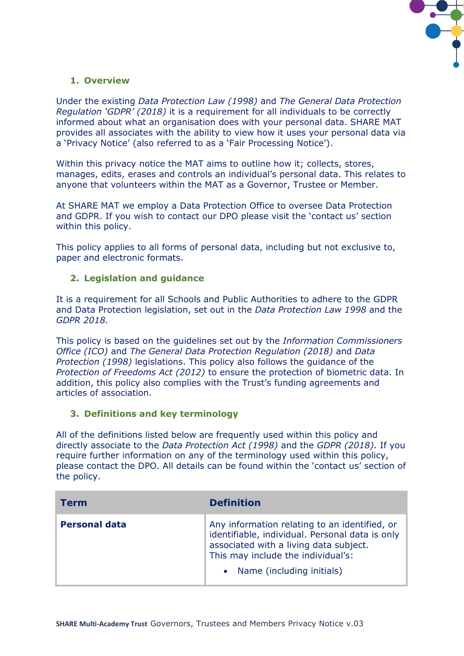

# **1. Overview**

Under the existing *Data Protection Law (1998)* and *The General Data Protection Regulation 'GDPR' (2018)* it is a requirement for all individuals to be correctly informed about what an organisation does with your personal data. SHARE MAT provides all associates with the ability to view how it uses your personal data via a 'Privacy Notice' (also referred to as a 'Fair Processing Notice').

Within this privacy notice the MAT aims to outline how it; collects, stores, manages, edits, erases and controls an individual's personal data. This relates to anyone that volunteers within the MAT as a Governor, Trustee or Member.

At SHARE MAT we employ a Data Protection Office to oversee Data Protection and GDPR. If you wish to contact our DPO please visit the 'contact us' section within this policy.

This policy applies to all forms of personal data, including but not exclusive to, paper and electronic formats.

# **2. Legislation and guidance**

It is a requirement for all Schools and Public Authorities to adhere to the GDPR and Data Protection legislation, set out in the *Data Protection Law 1998* and the *GDPR 2018.*

This policy is based on the guidelines set out by the *Information Commissioners Office (ICO)* and *The General Data Protection Regulation (2018)* and *Data Protection (1998)* legislations. This policy also follows the guidance of the *Protection of Freedoms Act (2012)* to ensure the protection of biometric data. In addition, this policy also complies with the Trust's funding agreements and articles of association.

#### **3. Definitions and key terminology**

All of the definitions listed below are frequently used within this policy and directly associate to the *Data Protection Act (1998)* and the *GDPR (2018)*. If you require further information on any of the terminology used within this policy, please contact the DPO. All details can be found within the 'contact us' section of the policy.

| Term                 | <b>Definition</b>                                                                                                                                                                                             |
|----------------------|---------------------------------------------------------------------------------------------------------------------------------------------------------------------------------------------------------------|
| <b>Personal data</b> | Any information relating to an identified, or<br>identifiable, individual. Personal data is only<br>associated with a living data subject.<br>This may include the individual's:<br>Name (including initials) |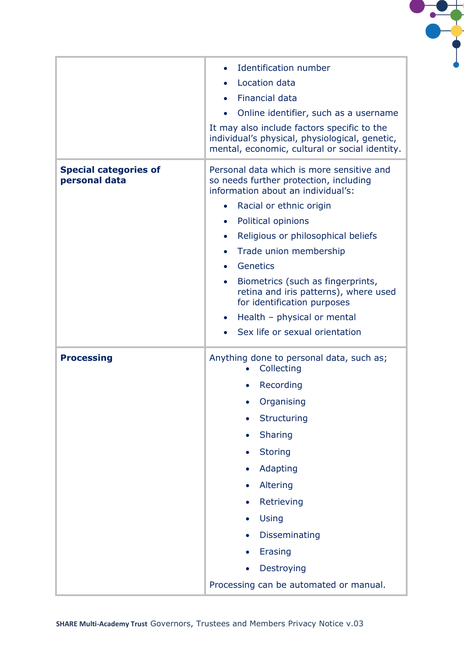

|                                               | <b>Identification number</b>                                                                                                                    |  |
|-----------------------------------------------|-------------------------------------------------------------------------------------------------------------------------------------------------|--|
|                                               | Location data                                                                                                                                   |  |
|                                               | <b>Financial data</b>                                                                                                                           |  |
|                                               | Online identifier, such as a username<br>$\bullet$                                                                                              |  |
|                                               | It may also include factors specific to the<br>individual's physical, physiological, genetic,<br>mental, economic, cultural or social identity. |  |
| <b>Special categories of</b><br>personal data | Personal data which is more sensitive and<br>so needs further protection, including<br>information about an individual's:                       |  |
|                                               | Racial or ethnic origin<br>$\bullet$                                                                                                            |  |
|                                               | Political opinions<br>$\bullet$                                                                                                                 |  |
|                                               | Religious or philosophical beliefs<br>$\bullet$                                                                                                 |  |
|                                               | Trade union membership<br>$\bullet$                                                                                                             |  |
|                                               | Genetics<br>$\bullet$                                                                                                                           |  |
|                                               | Biometrics (such as fingerprints,<br>$\bullet$<br>retina and iris patterns), where used<br>for identification purposes                          |  |
|                                               | Health - physical or mental<br>$\bullet$                                                                                                        |  |
|                                               | Sex life or sexual orientation<br>$\bullet$                                                                                                     |  |
| <b>Processing</b>                             | Anything done to personal data, such as;<br>Collecting                                                                                          |  |
|                                               | Recording                                                                                                                                       |  |
|                                               | Organising                                                                                                                                      |  |
|                                               | Structuring                                                                                                                                     |  |
|                                               | Sharing<br>$\bullet$                                                                                                                            |  |
|                                               | <b>Storing</b>                                                                                                                                  |  |
|                                               | Adapting                                                                                                                                        |  |
|                                               | Altering                                                                                                                                        |  |
|                                               | Retrieving                                                                                                                                      |  |
|                                               | Using                                                                                                                                           |  |
|                                               | Disseminating                                                                                                                                   |  |
|                                               | Erasing                                                                                                                                         |  |
|                                               | Destroying                                                                                                                                      |  |
|                                               | Processing can be automated or manual.                                                                                                          |  |
|                                               |                                                                                                                                                 |  |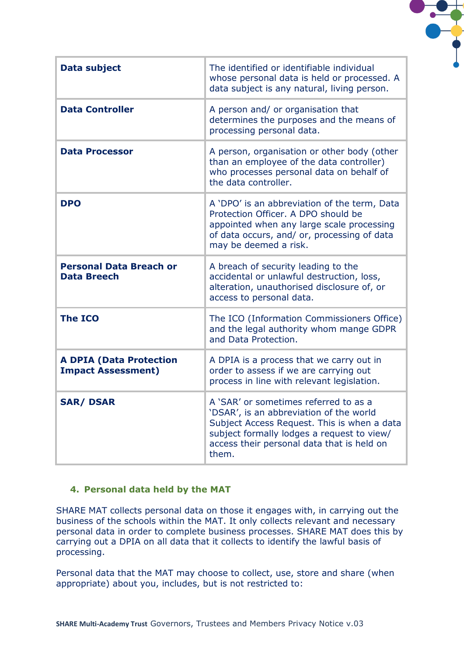| <b>Data subject</b>                                         | The identified or identifiable individual<br>whose personal data is held or processed. A<br>data subject is any natural, living person.                                                                                              |
|-------------------------------------------------------------|--------------------------------------------------------------------------------------------------------------------------------------------------------------------------------------------------------------------------------------|
| <b>Data Controller</b>                                      | A person and/ or organisation that<br>determines the purposes and the means of<br>processing personal data.                                                                                                                          |
| <b>Data Processor</b>                                       | A person, organisation or other body (other<br>than an employee of the data controller)<br>who processes personal data on behalf of<br>the data controller.                                                                          |
| <b>DPO</b>                                                  | A 'DPO' is an abbreviation of the term, Data<br>Protection Officer. A DPO should be<br>appointed when any large scale processing<br>of data occurs, and/ or, processing of data<br>may be deemed a risk.                             |
| <b>Personal Data Breach or</b><br><b>Data Breech</b>        | A breach of security leading to the<br>accidental or unlawful destruction, loss,<br>alteration, unauthorised disclosure of, or<br>access to personal data.                                                                           |
| <b>The ICO</b>                                              | The ICO (Information Commissioners Office)<br>and the legal authority whom mange GDPR<br>and Data Protection.                                                                                                                        |
| <b>A DPIA (Data Protection</b><br><b>Impact Assessment)</b> | A DPIA is a process that we carry out in<br>order to assess if we are carrying out<br>process in line with relevant legislation.                                                                                                     |
| <b>SAR/DSAR</b>                                             | A 'SAR' or sometimes referred to as a<br>'DSAR', is an abbreviation of the world<br>Subject Access Request. This is when a data<br>subject formally lodges a request to view/<br>access their personal data that is held on<br>them. |

 $\bullet$ 

#### **4. Personal data held by the MAT**

SHARE MAT collects personal data on those it engages with, in carrying out the business of the schools within the MAT. It only collects relevant and necessary personal data in order to complete business processes. SHARE MAT does this by carrying out a DPIA on all data that it collects to identify the lawful basis of processing.

Personal data that the MAT may choose to collect, use, store and share (when appropriate) about you, includes, but is not restricted to: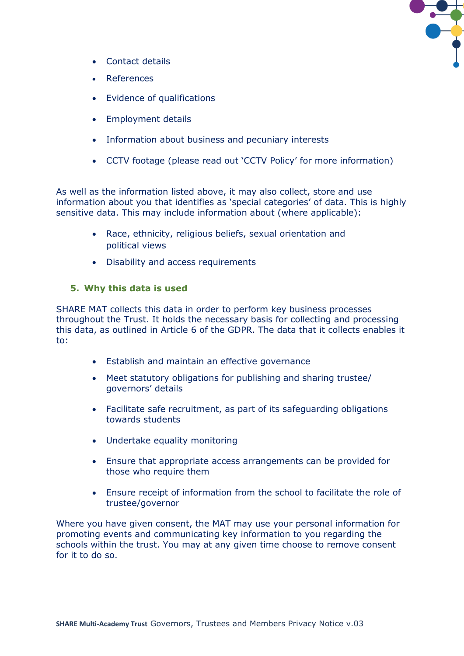

- Contact details
- References
- Evidence of qualifications
- Employment details
- Information about business and pecuniary interests
- CCTV footage (please read out 'CCTV Policy' for more information)

As well as the information listed above, it may also collect, store and use information about you that identifies as 'special categories' of data. This is highly sensitive data. This may include information about (where applicable):

- Race, ethnicity, religious beliefs, sexual orientation and political views
- Disability and access requirements

#### **5. Why this data is used**

SHARE MAT collects this data in order to perform key business processes throughout the Trust. It holds the necessary basis for collecting and processing this data, as outlined in Article 6 of the GDPR. The data that it collects enables it to:

- Establish and maintain an effective governance
- Meet statutory obligations for publishing and sharing trustee/ governors' details
- Facilitate safe recruitment, as part of its safeguarding obligations towards students
- Undertake equality monitoring
- Ensure that appropriate access arrangements can be provided for those who require them
- Ensure receipt of information from the school to facilitate the role of trustee/governor

Where you have given consent, the MAT may use your personal information for promoting events and communicating key information to you regarding the schools within the trust. You may at any given time choose to remove consent for it to do so.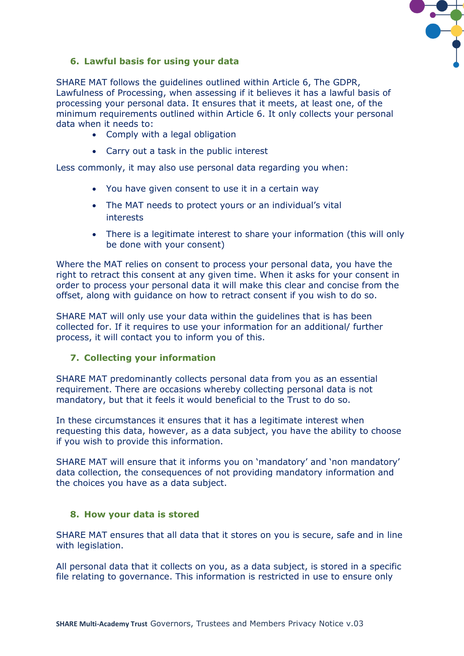

# **6. Lawful basis for using your data**

SHARE MAT follows the guidelines outlined within Article 6, The GDPR, Lawfulness of Processing, when assessing if it believes it has a lawful basis of processing your personal data. It ensures that it meets, at least one, of the minimum requirements outlined within Article 6. It only collects your personal data when it needs to:

- Comply with a legal obligation
- Carry out a task in the public interest

Less commonly, it may also use personal data regarding you when:

- You have given consent to use it in a certain way
- The MAT needs to protect yours or an individual's vital interests
- There is a legitimate interest to share your information (this will only be done with your consent)

Where the MAT relies on consent to process your personal data, you have the right to retract this consent at any given time. When it asks for your consent in order to process your personal data it will make this clear and concise from the offset, along with guidance on how to retract consent if you wish to do so.

SHARE MAT will only use your data within the guidelines that is has been collected for. If it requires to use your information for an additional/ further process, it will contact you to inform you of this.

# **7. Collecting your information**

SHARE MAT predominantly collects personal data from you as an essential requirement. There are occasions whereby collecting personal data is not mandatory, but that it feels it would beneficial to the Trust to do so.

In these circumstances it ensures that it has a legitimate interest when requesting this data, however, as a data subject, you have the ability to choose if you wish to provide this information.

SHARE MAT will ensure that it informs you on 'mandatory' and 'non mandatory' data collection, the consequences of not providing mandatory information and the choices you have as a data subject.

#### **8. How your data is stored**

SHARE MAT ensures that all data that it stores on you is secure, safe and in line with legislation.

All personal data that it collects on you, as a data subject, is stored in a specific file relating to governance. This information is restricted in use to ensure only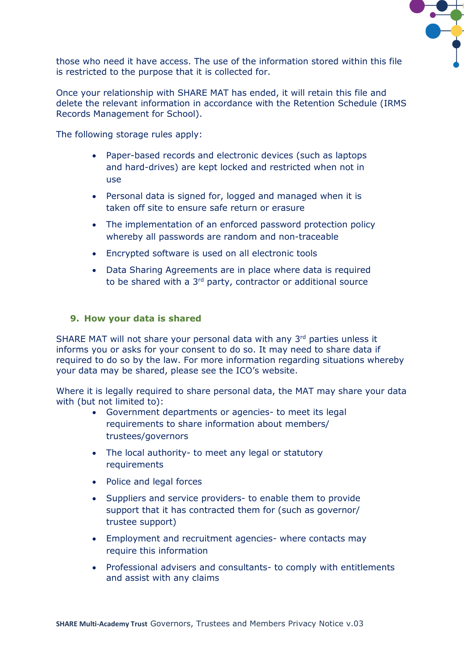

those who need it have access. The use of the information stored within this file is restricted to the purpose that it is collected for.

Once your relationship with SHARE MAT has ended, it will retain this file and delete the relevant information in accordance with the Retention Schedule (IRMS Records Management for School).

The following storage rules apply:

- Paper-based records and electronic devices (such as laptops and hard-drives) are kept locked and restricted when not in use
- Personal data is signed for, logged and managed when it is taken off site to ensure safe return or erasure
- The implementation of an enforced password protection policy whereby all passwords are random and non-traceable
- Encrypted software is used on all electronic tools
- Data Sharing Agreements are in place where data is required to be shared with a 3<sup>rd</sup> party, contractor or additional source

#### **9. How your data is shared**

SHARE MAT will not share your personal data with any 3<sup>rd</sup> parties unless it informs you or asks for your consent to do so. It may need to share data if required to do so by the law. For more information regarding situations whereby your data may be shared, please see the ICO's website.

Where it is legally required to share personal data, the MAT may share your data with (but not limited to):

- Government departments or agencies- to meet its legal requirements to share information about members/ trustees/governors
- The local authority- to meet any legal or statutory requirements
- Police and legal forces
- Suppliers and service providers- to enable them to provide support that it has contracted them for (such as governor/ trustee support)
- Employment and recruitment agencies- where contacts may require this information
- Professional advisers and consultants- to comply with entitlements and assist with any claims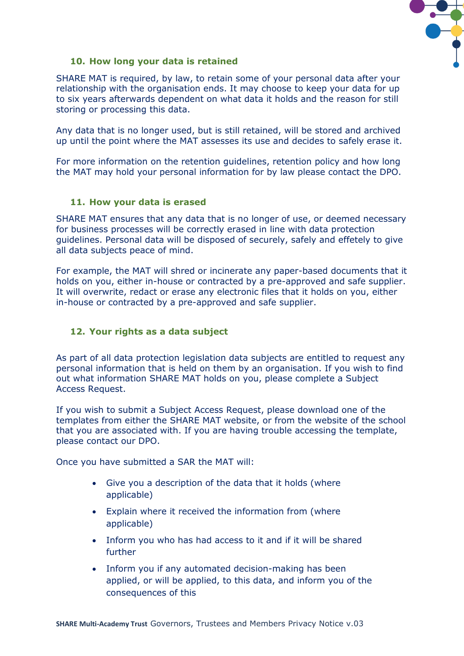

# **10. How long your data is retained**

SHARE MAT is required, by law, to retain some of your personal data after your relationship with the organisation ends. It may choose to keep your data for up to six years afterwards dependent on what data it holds and the reason for still storing or processing this data.

Any data that is no longer used, but is still retained, will be stored and archived up until the point where the MAT assesses its use and decides to safely erase it.

For more information on the retention guidelines, retention policy and how long the MAT may hold your personal information for by law please contact the DPO.

#### **11. How your data is erased**

SHARE MAT ensures that any data that is no longer of use, or deemed necessary for business processes will be correctly erased in line with data protection guidelines. Personal data will be disposed of securely, safely and effetely to give all data subjects peace of mind.

For example, the MAT will shred or incinerate any paper-based documents that it holds on you, either in-house or contracted by a pre-approved and safe supplier. It will overwrite, redact or erase any electronic files that it holds on you, either in-house or contracted by a pre-approved and safe supplier.

# **12. Your rights as a data subject**

As part of all data protection legislation data subjects are entitled to request any personal information that is held on them by an organisation. If you wish to find out what information SHARE MAT holds on you, please complete a Subject Access Request.

If you wish to submit a Subject Access Request, please download one of the templates from either the SHARE MAT website, or from the website of the school that you are associated with. If you are having trouble accessing the template, please contact our DPO.

Once you have submitted a SAR the MAT will:

- Give you a description of the data that it holds (where applicable)
- Explain where it received the information from (where applicable)
- Inform you who has had access to it and if it will be shared further
- Inform you if any automated decision-making has been applied, or will be applied, to this data, and inform you of the consequences of this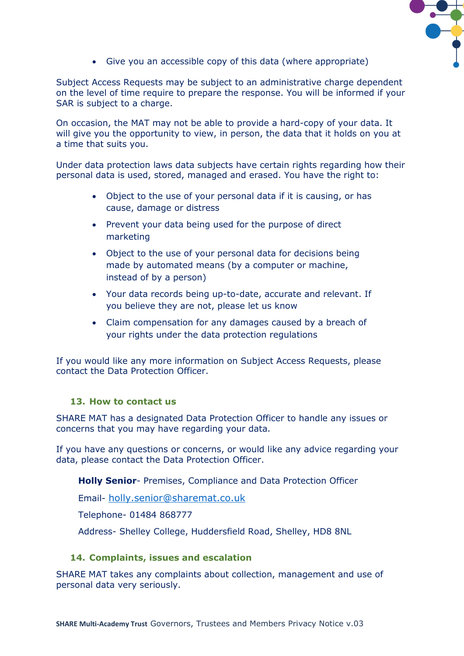

• Give you an accessible copy of this data (where appropriate)

Subject Access Requests may be subject to an administrative charge dependent on the level of time require to prepare the response. You will be informed if your SAR is subject to a charge.

On occasion, the MAT may not be able to provide a hard-copy of your data. It will give you the opportunity to view, in person, the data that it holds on you at a time that suits you.

Under data protection laws data subjects have certain rights regarding how their personal data is used, stored, managed and erased. You have the right to:

- Object to the use of your personal data if it is causing, or has cause, damage or distress
- Prevent your data being used for the purpose of direct marketing
- Object to the use of your personal data for decisions being made by automated means (by a computer or machine, instead of by a person)
- Your data records being up-to-date, accurate and relevant. If you believe they are not, please let us know
- Claim compensation for any damages caused by a breach of your rights under the data protection regulations

If you would like any more information on Subject Access Requests, please contact the Data Protection Officer.

# **13. How to contact us**

SHARE MAT has a designated Data Protection Officer to handle any issues or concerns that you may have regarding your data.

If you have any questions or concerns, or would like any advice regarding your data, please contact the Data Protection Officer.

**Holly Senior**- Premises, Compliance and Data Protection Officer

Email- [holly.senior@sharemat.co.uk](mailto:holly.senior@sharemat.co.uk)

Telephone- 01484 868777

Address- Shelley College, Huddersfield Road, Shelley, HD8 8NL

#### **14. Complaints, issues and escalation**

SHARE MAT takes any complaints about collection, management and use of personal data very seriously.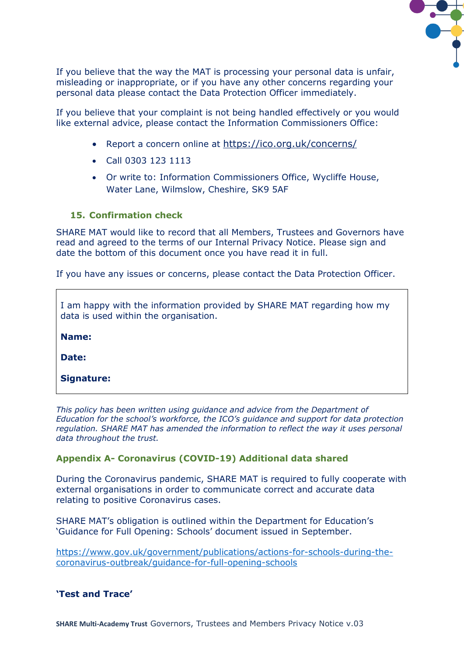

If you believe that the way the MAT is processing your personal data is unfair, misleading or inappropriate, or if you have any other concerns regarding your personal data please contact the Data Protection Officer immediately.

If you believe that your complaint is not being handled effectively or you would like external advice, please contact the Information Commissioners Office:

- Report a concern online at <https://ico.org.uk/concerns/>
- Call 0303 123 1113
- Or write to: Information Commissioners Office, Wycliffe House, Water Lane, Wilmslow, Cheshire, SK9 5AF

# **15. Confirmation check**

SHARE MAT would like to record that all Members, Trustees and Governors have read and agreed to the terms of our Internal Privacy Notice. Please sign and date the bottom of this document once you have read it in full.

If you have any issues or concerns, please contact the Data Protection Officer.

I am happy with the information provided by SHARE MAT regarding how my data is used within the organisation.

**Name:**

**Date:**

**Signature:**

*This policy has been written using guidance and advice from the Department of Education for the school's workforce, the ICO's guidance and support for data protection regulation. SHARE MAT has amended the information to reflect the way it uses personal data throughout the trust.* 

# **Appendix A- Coronavirus (COVID-19) Additional data shared**

During the Coronavirus pandemic, SHARE MAT is required to fully cooperate with external organisations in order to communicate correct and accurate data relating to positive Coronavirus cases.

SHARE MAT's obligation is outlined within the Department for Education's 'Guidance for Full Opening: Schools' document issued in September.

[https://www.gov.uk/government/publications/actions-for-schools-during-the](https://www.gov.uk/government/publications/actions-for-schools-during-the-coronavirus-outbreak/guidance-for-full-opening-schools)[coronavirus-outbreak/guidance-for-full-opening-schools](https://www.gov.uk/government/publications/actions-for-schools-during-the-coronavirus-outbreak/guidance-for-full-opening-schools)

# **'Test and Trace'**

**SHARE Multi-Academy Trust** Governors, Trustees and Members Privacy Notice v.03